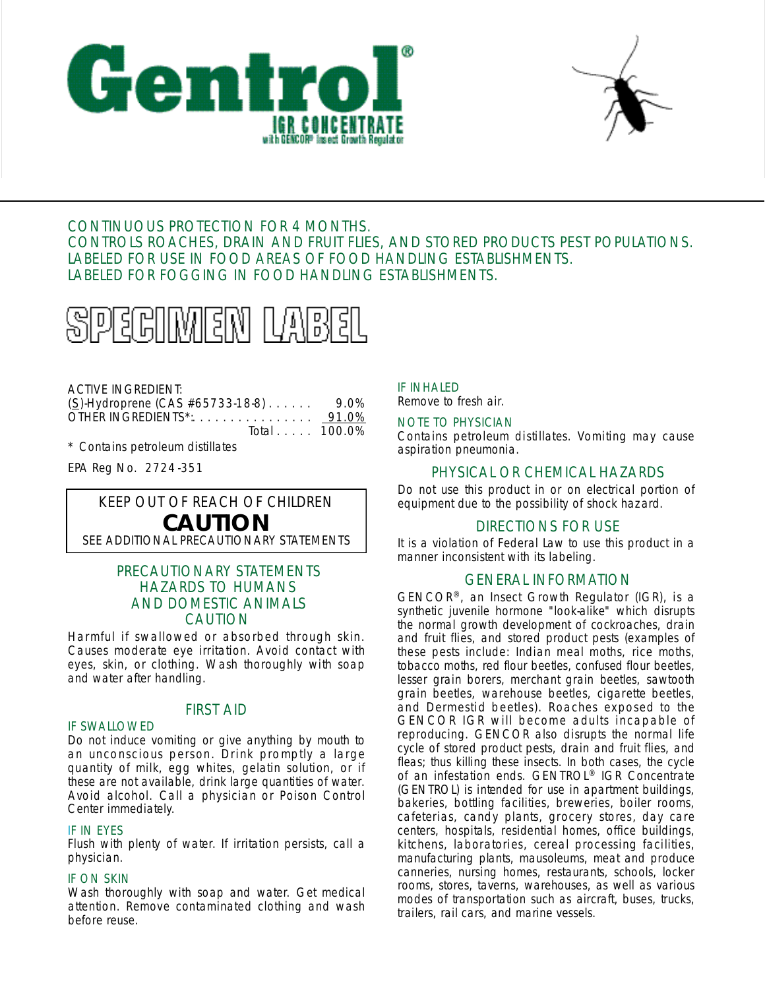



# CONTINUOUS PROTECTION FOR 4 MONTHS. CONTROLS ROACHES, DRAIN AND FRUIT FLIES, AND STORED PRODUCTS PEST POPULATIONS. LABELED FOR USE IN FOOD AREAS OF FOOD HANDLING ESTABLISHMENTS. LABELED FOR FOGGING IN FOOD HANDLING ESTABLISHMENTS.



# ACTIVE INGREDIENT:

| $(S)$ -Hydroprene (CAS #65733-18-8) | 9.0% |
|-------------------------------------|------|
| OTHER INGREDIENTS*: 91.0%           |      |
| Total 100.0%                        |      |

\* Contains petroleum distillates

EPA Reg No. 2724-351

# KEEP OUT OF REACH OF CHILDREN **CAUTION** SEE ADDITIONAL PRECAUTIONARY STATEMENTS

# PRECAUTIONARY STATEMENTS HAZARDS TO HUMANS AND DOMESTIC ANIMALS CAUTION

Harmful if swallowed or absorbed through skin. Causes moderate eye irritation. Avoid contact with eyes, skin, or clothing. Wash thoroughly with soap and water after handling.

# FIRST AID

### IF SWALLOWED

Do not induce vomiting or give anything by mouth to an unconscious person. Drink promptly a large quantity of milk, egg whites, gelatin solution, or if these are not available, drink large quantities of water. Avoid alcohol. Call a physician or Poison Control Center immediately.

### IF IN EYES

Flush with plenty of water. If irritation persists, call a physician.

# **IF ON SKIN**

Wash thoroughly with soap and water. Get medical attention. Remove contaminated clothing and wash before reuse.

IF INHALED Remove to fresh air.

# NOTE TO PHYSICIAN

Contains petroleum distillates. Vomiting may cause aspiration pneumonia.

# PHYSICAL OR CHEMICAL HAZARDS

Do not use this product in or on electrical portion of equipment due to the possibility of shock hazard.

# DIRECTIONS FOR USE

It is a violation of Federal Law to use this product in a manner inconsistent with its labeling.

# GENERAL INFORMATION

 $GENCOR^{\otimes}$ , an Insect Growth Regulator (IGR), is a synthetic juvenile hormone "look-alike" which disrupts the normal growth development of cockroaches, drain and fruit flies, and stored product pests (examples of these pests include: Indian meal moths, rice moths, tobacco moths, red flour beetles, confused flour beetles, lesser grain borers, merchant grain beetles, sawtooth grain beetles, warehouse beetles, cigarette beetles, and Dermestid beetles). Roaches exposed to the GENCOR IGR will become adults incapable of reproducing. GENCOR also disrupts the normal life cycle of stored product pests, drain and fruit flies, and fleas; thus killing these insects. In both cases, the cycle of an infestation ends. GENTROL® IGR Concentrate (GENTROL) is intended for use in apartment buildings, bakeries, bottling facilities, breweries, boiler rooms, cafeterias, candy plants, grocery stores, day care centers, hospitals, residential homes, office buildings, kitchens, laboratories, cereal processing facilities, manufacturing plants, mausoleums, meat and produce canneries, nursing homes, restaurants, schools, locker rooms, stores, taverns, warehouses, as well as various modes of transportation such as aircraft, buses, trucks, trailers, rail cars, and marine vessels.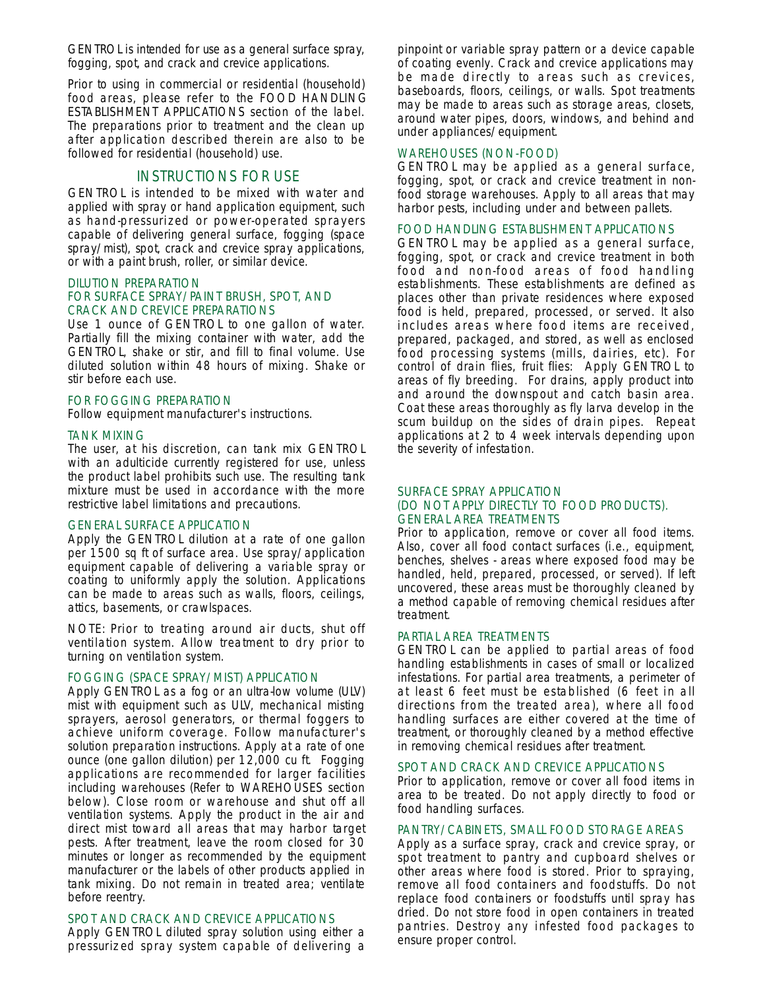GENTROL is intended for use as a general surface spray, fogging, spot, and crack and crevice applications.

Prior to using in commercial or residential (household) food areas, please refer to the FOOD HANDLING ESTABLISHMENT APPLICATIONS section of the label. The preparations prior to treatment and the clean up after application described therein are also to be followed for residential (household) use.

# INSTRUCTIONS FOR USE

GENTROL is intended to be mixed with water and applied with spray or hand application equipment, such as hand-pressurized or power-operated sprayers capable of delivering general surface, fogging (space spray/mist), spot, crack and crevice spray applications, or with a paint brush, roller, or similar device.

#### DILUTION PREPARATION

### FOR SURFACE SPRAY/PAINT BRUSH, SPOT, AND CRACK AND CREVICE PREPARATIONS

Use 1 ounce of GENTROL to one gallon of water. Partially fill the mixing container with water, add the GENTROL, shake or stir, and fill to final volume. Use diluted solution within 48 hours of mixing. Shake or stir before each use.

#### FOR FOGGING PREPARATION

Follow equipment manufacturer's instructions.

#### TANK MIXING

The user, at his discretion, can tank mix GENTROL with an adulticide currently registered for use, unless the product label prohibits such use. The resulting tank mixture must be used in accordance with the more restrictive label limitations and precautions.

#### GENERAL SURFACE APPLICATION

Apply the GENTROL dilution at a rate of one gallon per 1500 sq ft of surface area. Use spray/application equipment capable of delivering a variable spray or coating to uniformly apply the solution. Applications can be made to areas such as walls, floors, ceilings, attics, basements, or crawlspaces.

NOTE: Prior to treating around air ducts, shut off ventilation system. Allow treatment to dry prior to turning on ventilation system.

### FOGGING (SPACE SPRAY/MIST) APPLICATION

Apply GENTROL as a fog or an ultra-low volume (ULV) mist with equipment such as ULV, mechanical misting sprayers, aerosol generators, or thermal foggers to achieve uniform coverage. Follow manufacturer's solution preparation instructions. Apply at a rate of one ounce (one gallon dilution) per 12,000 cu ft. Fogging applications are recommended for larger facilities including warehouses (Refer to WAREHOUSES section below). Close room or warehouse and shut off all ventilation systems. Apply the product in the air and direct mist toward all areas that may harbor target pests. After treatment, leave the room closed for 30 minutes or longer as recommended by the equipment manufacturer or the labels of other products applied in tank mixing. Do not remain in treated area; ventilate before reentry.

#### SPOT AND CRACK AND CREVICE APPLICATIONS

Apply GENTROL diluted spray solution using either a pressurized spray system capable of delivering a pinpoint or variable spray pattern or a device capable of coating evenly. Crack and crevice applications may be made directly to areas such as crevices, baseboards, floors, ceilings, or walls. Spot treatments may be made to areas such as storage areas, closets, around water pipes, doors, windows, and behind and under appliances/equipment.

### WAREHOUSES (NON-FOOD)

GENTROL may be applied as a general surface, fogging, spot, or crack and crevice treatment in nonfood storage warehouses. Apply to all areas that may harbor pests, including under and between pallets.

#### FOOD HANDLING ESTABLISHMENT APPLICATIONS

GENTROL may be applied as a general surface, fogging, spot, or crack and crevice treatment in both food and non-food areas of food handling establishments. These establishments are defined as places other than private residences where exposed food is held, prepared, processed, or served. It also includes areas where food items are received, prepared, packaged, and stored, as well as enclosed food processing systems (mills, dairies, etc). For control of drain flies, fruit flies: Apply GENTROL to areas of fly breeding. For drains, apply product into and around the downspout and catch basin area. Coat these areas thoroughly as fly larva develop in the scum buildup on the sides of drain pipes. Repeat applications at 2 to 4 week intervals depending upon the severity of infestation.

### SURFACE SPRAY APPLICATION (DO NOT APPLY DIRECTLY TO FOOD PRODUCTS). GENERAL AREA TREATMENTS

Prior to application, remove or cover all food items. Also, cover all food contact surfaces (i.e., equipment, benches, shelves - areas where exposed food may be handled, held, prepared, processed, or served). If left uncovered, these areas must be thoroughly cleaned by a method capable of removing chemical residues after treatment.

#### PARTIAL AREA TREATMENTS

GENTROL can be applied to partial areas of food handling establishments in cases of small or localized infestations. For partial area treatments, a perimeter of at least 6 feet must be established (6 feet in all directions from the treated area), where all food handling surfaces are either covered at the time of treatment, or thoroughly cleaned by a method effective in removing chemical residues after treatment.

#### SPOT AND CRACK AND CREVICE APPLICATIONS

Prior to application, remove or cover all food items in area to be treated. Do not apply directly to food or food handling surfaces.

#### PANTRY/CABINETS, SMALL FOOD STORAGE AREAS

Apply as a surface spray, crack and crevice spray, or spot treatment to pantry and cupboard shelves or other areas where food is stored. Prior to spraying, remove all food containers and foodstuffs. Do not replace food containers or foodstuffs until spray has dried. Do not store food in open containers in treated pantries. Destroy any infested food packages to ensure proper control.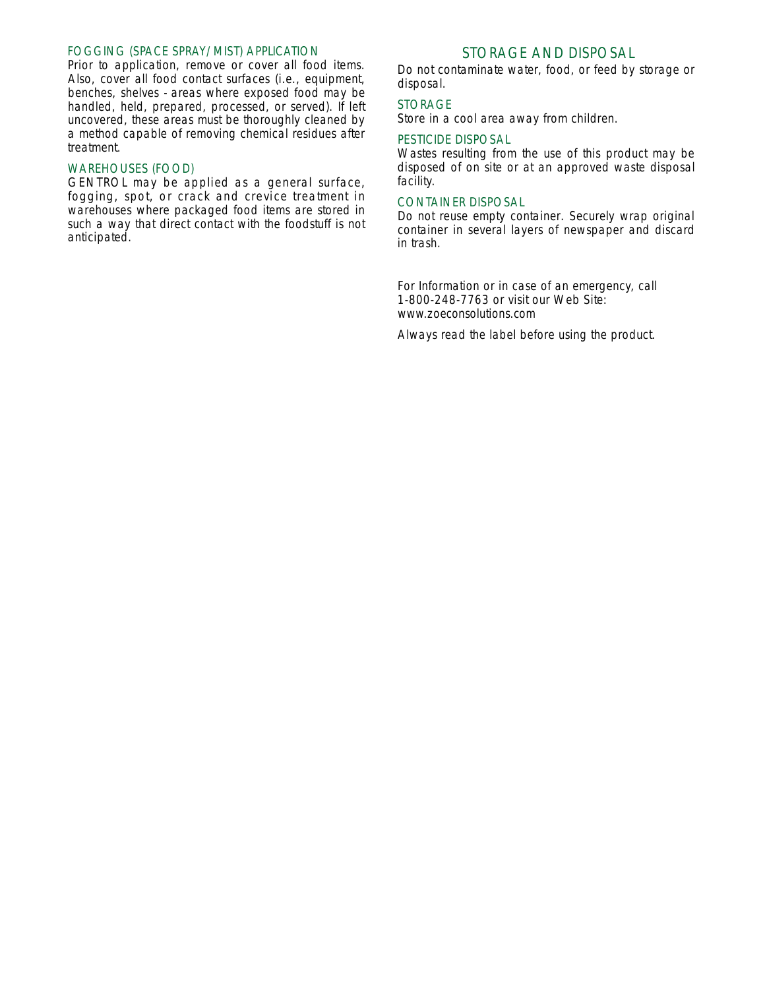### FOGGING (SPACE SPRAY/MIST) APPLICATION

Prior to application, remove or cover all food items. Also, cover all food contact surfaces (i.e., equipment, benches, shelves - areas where exposed food may be handled, held, prepared, processed, or served). If left uncovered, these areas must be thoroughly cleaned by a method capable of removing chemical residues after treatment.

### WAREHOUSES (FOOD)

GENTROL may be applied as a general surface, fogging, spot, or crack and crevice treatment in warehouses where packaged food items are stored in such a way that direct contact with the foodstuff is not anticipated.

# STORAGE AND DISPOSAL

Do not contaminate water, food, or feed by storage or disposal.

### STORAGE

Store in a cool area away from children.

# PESTICIDE DISPOSAL

Wastes resulting from the use of this product may be disposed of on site or at an approved waste disposal facility.

### CONTAINER DISPOSAL

Do not reuse empty container. Securely wrap original container in several layers of newspaper and discard in trash.

For Information or in case of an emergency, call 1-800-248-7763 or visit our Web Site: www.zoeconsolutions.com

Always read the label before using the product.